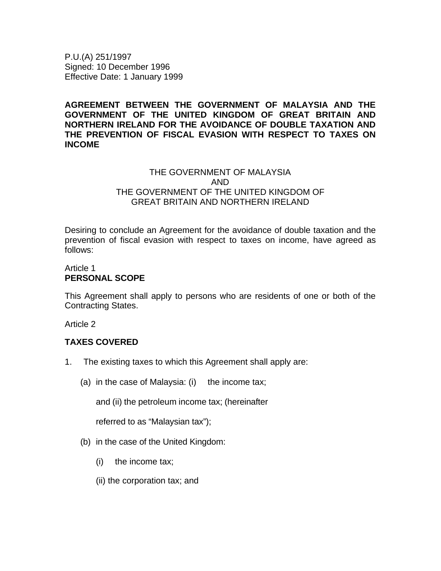P.U.(A) 251/1997 Signed: 10 December 1996 Effective Date: 1 January 1999

**AGREEMENT BETWEEN THE GOVERNMENT OF MALAYSIA AND THE GOVERNMENT OF THE UNITED KINGDOM OF GREAT BRITAIN AND NORTHERN IRELAND FOR THE AVOIDANCE OF DOUBLE TAXATION AND THE PREVENTION OF FISCAL EVASION WITH RESPECT TO TAXES ON INCOME**

## THE GOVERNMENT OF MALAYSIA AND THE GOVERNMENT OF THE UNITED KINGDOM OF GREAT BRITAIN AND NORTHERN IRELAND

Desiring to conclude an Agreement for the avoidance of double taxation and the prevention of fiscal evasion with respect to taxes on income, have agreed as follows:

### Article 1 **PERSONAL SCOPE**

This Agreement shall apply to persons who are residents of one or both of the Contracting States.

Article 2

### **TAXES COVERED**

- 1. The existing taxes to which this Agreement shall apply are:
	- (a) in the case of Malaysia:  $(i)$  the income tax;

and (ii) the petroleum income tax; (hereinafter

referred to as "Malaysian tax");

- (b) in the case of the United Kingdom:
	- (i) the income tax;
	- (ii) the corporation tax; and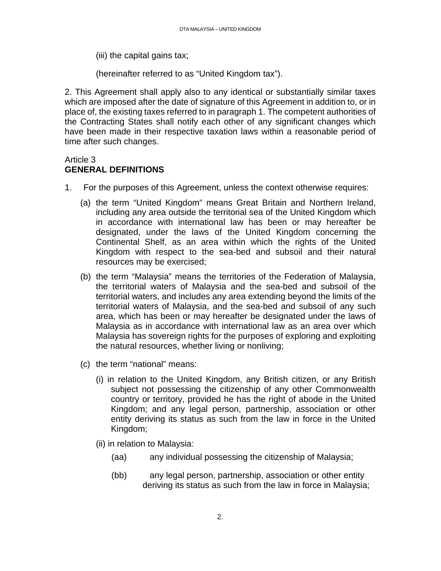(iii) the capital gains tax;

(hereinafter referred to as "United Kingdom tax").

2. This Agreement shall apply also to any identical or substantially similar taxes which are imposed after the date of signature of this Agreement in addition to, or in place of, the existing taxes referred to in paragraph 1. The competent authorities of the Contracting States shall notify each other of any significant changes which have been made in their respective taxation laws within a reasonable period of time after such changes.

### Article 3 **GENERAL DEFINITIONS**

- 1. For the purposes of this Agreement, unless the context otherwise requires:
	- (a) the term "United Kingdom" means Great Britain and Northern Ireland, including any area outside the territorial sea of the United Kingdom which in accordance with international law has been or may hereafter be designated, under the laws of the United Kingdom concerning the Continental Shelf, as an area within which the rights of the United Kingdom with respect to the sea-bed and subsoil and their natural resources may be exercised;
	- (b) the term "Malaysia" means the territories of the Federation of Malaysia, the territorial waters of Malaysia and the sea-bed and subsoil of the territorial waters, and includes any area extending beyond the limits of the territorial waters of Malaysia, and the sea-bed and subsoil of any such area, which has been or may hereafter be designated under the laws of Malaysia as in accordance with international law as an area over which Malaysia has sovereign rights for the purposes of exploring and exploiting the natural resources, whether living or nonliving;
	- (c) the term "national" means:
		- (i) in relation to the United Kingdom, any British citizen, or any British subject not possessing the citizenship of any other Commonwealth country or territory, provided he has the right of abode in the United Kingdom; and any legal person, partnership, association or other entity deriving its status as such from the law in force in the United Kingdom;
		- (ii) in relation to Malaysia:
			- (aa) any individual possessing the citizenship of Malaysia;
			- (bb) any legal person, partnership, association or other entity deriving its status as such from the law in force in Malaysia;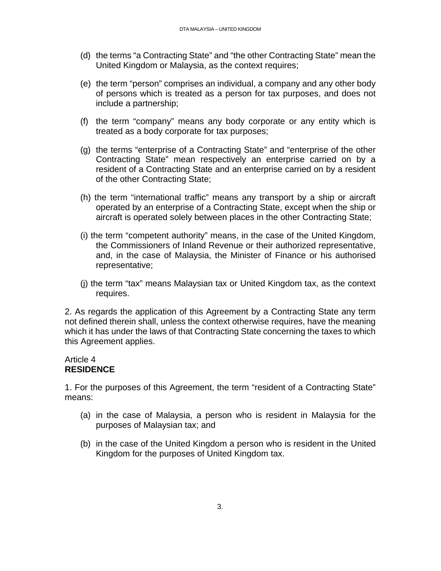- (d) the terms "a Contracting State" and "the other Contracting State" mean the United Kingdom or Malaysia, as the context requires;
- (e) the term "person" comprises an individual, a company and any other body of persons which is treated as a person for tax purposes, and does not include a partnership;
- (f) the term "company" means any body corporate or any entity which is treated as a body corporate for tax purposes;
- (g) the terms "enterprise of a Contracting State" and "enterprise of the other Contracting State" mean respectively an enterprise carried on by a resident of a Contracting State and an enterprise carried on by a resident of the other Contracting State;
- (h) the term "international traffic" means any transport by a ship or aircraft operated by an enterprise of a Contracting State, except when the ship or aircraft is operated solely between places in the other Contracting State;
- (i) the term "competent authority" means, in the case of the United Kingdom, the Commissioners of Inland Revenue or their authorized representative, and, in the case of Malaysia, the Minister of Finance or his authorised representative;
- (j) the term "tax" means Malaysian tax or United Kingdom tax, as the context requires.

2. As regards the application of this Agreement by a Contracting State any term not defined therein shall, unless the context otherwise requires, have the meaning which it has under the laws of that Contracting State concerning the taxes to which this Agreement applies.

### Article 4 **RESIDENCE**

1. For the purposes of this Agreement, the term "resident of a Contracting State" means:

- (a) in the case of Malaysia, a person who is resident in Malaysia for the purposes of Malaysian tax; and
- (b) in the case of the United Kingdom a person who is resident in the United Kingdom for the purposes of United Kingdom tax.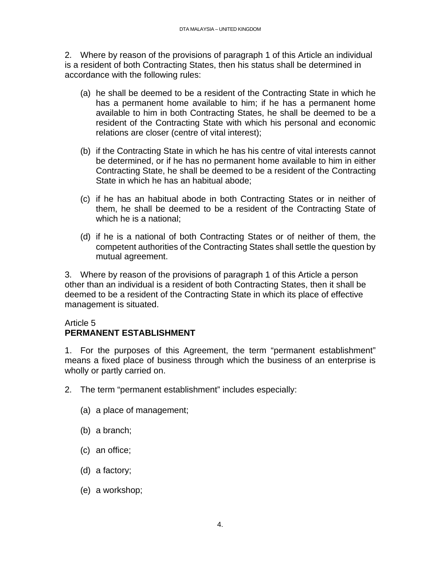2. Where by reason of the provisions of paragraph 1 of this Article an individual is a resident of both Contracting States, then his status shall be determined in accordance with the following rules:

- (a) he shall be deemed to be a resident of the Contracting State in which he has a permanent home available to him; if he has a permanent home available to him in both Contracting States, he shall be deemed to be a resident of the Contracting State with which his personal and economic relations are closer (centre of vital interest);
- (b) if the Contracting State in which he has his centre of vital interests cannot be determined, or if he has no permanent home available to him in either Contracting State, he shall be deemed to be a resident of the Contracting State in which he has an habitual abode;
- (c) if he has an habitual abode in both Contracting States or in neither of them, he shall be deemed to be a resident of the Contracting State of which he is a national;
- (d) if he is a national of both Contracting States or of neither of them, the competent authorities of the Contracting States shall settle the question by mutual agreement.

3. Where by reason of the provisions of paragraph 1 of this Article a person other than an individual is a resident of both Contracting States, then it shall be deemed to be a resident of the Contracting State in which its place of effective management is situated.

## Article 5

## **PERMANENT ESTABLISHMENT**

1. For the purposes of this Agreement, the term "permanent establishment" means a fixed place of business through which the business of an enterprise is wholly or partly carried on.

- 2. The term "permanent establishment" includes especially:
	- (a) a place of management;
	- (b) a branch;
	- (c) an office;
	- (d) a factory;
	- (e) a workshop;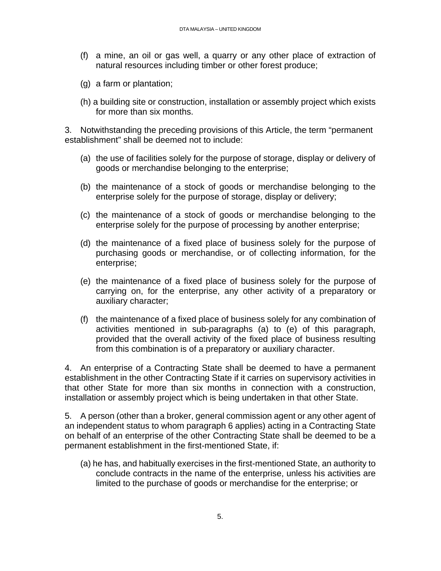- (f) a mine, an oil or gas well, a quarry or any other place of extraction of natural resources including timber or other forest produce;
- (g) a farm or plantation;
- (h) a building site or construction, installation or assembly project which exists for more than six months.

3. Notwithstanding the preceding provisions of this Article, the term "permanent establishment" shall be deemed not to include:

- (a) the use of facilities solely for the purpose of storage, display or delivery of goods or merchandise belonging to the enterprise;
- (b) the maintenance of a stock of goods or merchandise belonging to the enterprise solely for the purpose of storage, display or delivery;
- (c) the maintenance of a stock of goods or merchandise belonging to the enterprise solely for the purpose of processing by another enterprise;
- (d) the maintenance of a fixed place of business solely for the purpose of purchasing goods or merchandise, or of collecting information, for the enterprise;
- (e) the maintenance of a fixed place of business solely for the purpose of carrying on, for the enterprise, any other activity of a preparatory or auxiliary character;
- (f) the maintenance of a fixed place of business solely for any combination of activities mentioned in sub-paragraphs (a) to (e) of this paragraph, provided that the overall activity of the fixed place of business resulting from this combination is of a preparatory or auxiliary character.

4. An enterprise of a Contracting State shall be deemed to have a permanent establishment in the other Contracting State if it carries on supervisory activities in that other State for more than six months in connection with a construction, installation or assembly project which is being undertaken in that other State.

5. A person (other than a broker, general commission agent or any other agent of an independent status to whom paragraph 6 applies) acting in a Contracting State on behalf of an enterprise of the other Contracting State shall be deemed to be a permanent establishment in the first-mentioned State, if:

(a) he has, and habitually exercises in the first-mentioned State, an authority to conclude contracts in the name of the enterprise, unless his activities are limited to the purchase of goods or merchandise for the enterprise; or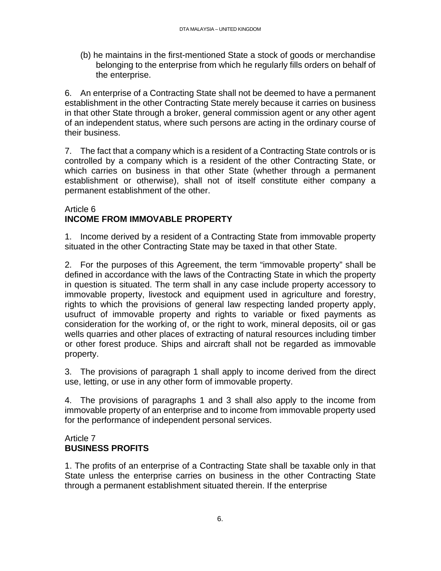(b) he maintains in the first-mentioned State a stock of goods or merchandise belonging to the enterprise from which he regularly fills orders on behalf of the enterprise.

6. An enterprise of a Contracting State shall not be deemed to have a permanent establishment in the other Contracting State merely because it carries on business in that other State through a broker, general commission agent or any other agent of an independent status, where such persons are acting in the ordinary course of their business.

7. The fact that a company which is a resident of a Contracting State controls or is controlled by a company which is a resident of the other Contracting State, or which carries on business in that other State (whether through a permanent establishment or otherwise), shall not of itself constitute either company a permanent establishment of the other.

### Article 6 **INCOME FROM IMMOVABLE PROPERTY**

1. Income derived by a resident of a Contracting State from immovable property situated in the other Contracting State may be taxed in that other State.

2. For the purposes of this Agreement, the term "immovable property" shall be defined in accordance with the laws of the Contracting State in which the property in question is situated. The term shall in any case include property accessory to immovable property, livestock and equipment used in agriculture and forestry, rights to which the provisions of general law respecting landed property apply, usufruct of immovable property and rights to variable or fixed payments as consideration for the working of, or the right to work, mineral deposits, oil or gas wells quarries and other places of extracting of natural resources including timber or other forest produce. Ships and aircraft shall not be regarded as immovable property.

3. The provisions of paragraph 1 shall apply to income derived from the direct use, letting, or use in any other form of immovable property.

4. The provisions of paragraphs 1 and 3 shall also apply to the income from immovable property of an enterprise and to income from immovable property used for the performance of independent personal services.

### Article 7 **BUSINESS PROFITS**

1. The profits of an enterprise of a Contracting State shall be taxable only in that State unless the enterprise carries on business in the other Contracting State through a permanent establishment situated therein. If the enterprise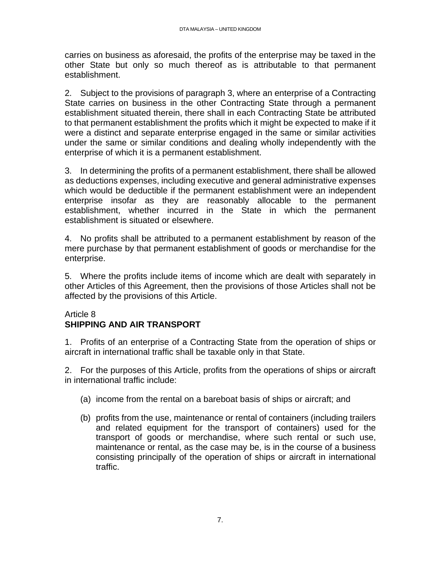carries on business as aforesaid, the profits of the enterprise may be taxed in the other State but only so much thereof as is attributable to that permanent establishment.

2. Subject to the provisions of paragraph 3, where an enterprise of a Contracting State carries on business in the other Contracting State through a permanent establishment situated therein, there shall in each Contracting State be attributed to that permanent establishment the profits which it might be expected to make if it were a distinct and separate enterprise engaged in the same or similar activities under the same or similar conditions and dealing wholly independently with the enterprise of which it is a permanent establishment.

3. In determining the profits of a permanent establishment, there shall be allowed as deductions expenses, including executive and general administrative expenses which would be deductible if the permanent establishment were an independent enterprise insofar as they are reasonably allocable to the permanent establishment, whether incurred in the State in which the permanent establishment is situated or elsewhere.

4. No profits shall be attributed to a permanent establishment by reason of the mere purchase by that permanent establishment of goods or merchandise for the enterprise.

5. Where the profits include items of income which are dealt with separately in other Articles of this Agreement, then the provisions of those Articles shall not be affected by the provisions of this Article.

### Article 8 **SHIPPING AND AIR TRANSPORT**

1. Profits of an enterprise of a Contracting State from the operation of ships or aircraft in international traffic shall be taxable only in that State.

2. For the purposes of this Article, profits from the operations of ships or aircraft in international traffic include:

- (a) income from the rental on a bareboat basis of ships or aircraft; and
- (b) profits from the use, maintenance or rental of containers (including trailers and related equipment for the transport of containers) used for the transport of goods or merchandise, where such rental or such use, maintenance or rental, as the case may be, is in the course of a business consisting principally of the operation of ships or aircraft in international traffic.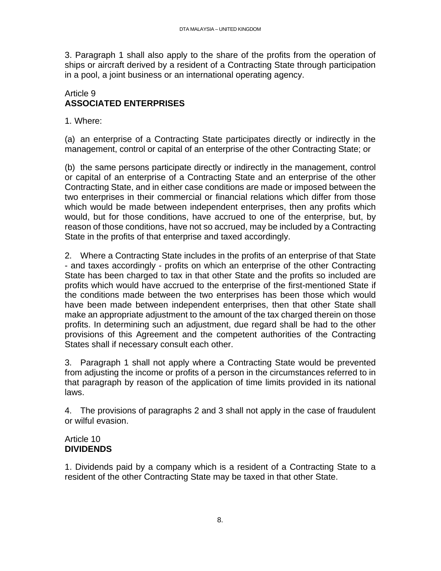3. Paragraph 1 shall also apply to the share of the profits from the operation of ships or aircraft derived by a resident of a Contracting State through participation in a pool, a joint business or an international operating agency.

## Article 9 **ASSOCIATED ENTERPRISES**

1. Where:

(a) an enterprise of a Contracting State participates directly or indirectly in the management, control or capital of an enterprise of the other Contracting State; or

(b) the same persons participate directly or indirectly in the management, control or capital of an enterprise of a Contracting State and an enterprise of the other Contracting State, and in either case conditions are made or imposed between the two enterprises in their commercial or financial relations which differ from those which would be made between independent enterprises, then any profits which would, but for those conditions, have accrued to one of the enterprise, but, by reason of those conditions, have not so accrued, may be included by a Contracting State in the profits of that enterprise and taxed accordingly.

2. Where a Contracting State includes in the profits of an enterprise of that State - and taxes accordingly - profits on which an enterprise of the other Contracting State has been charged to tax in that other State and the profits so included are profits which would have accrued to the enterprise of the first-mentioned State if the conditions made between the two enterprises has been those which would have been made between independent enterprises, then that other State shall make an appropriate adjustment to the amount of the tax charged therein on those profits. In determining such an adjustment, due regard shall be had to the other provisions of this Agreement and the competent authorities of the Contracting States shall if necessary consult each other.

3. Paragraph 1 shall not apply where a Contracting State would be prevented from adjusting the income or profits of a person in the circumstances referred to in that paragraph by reason of the application of time limits provided in its national laws.

4. The provisions of paragraphs 2 and 3 shall not apply in the case of fraudulent or wilful evasion.

### Article 10 **DIVIDENDS**

1. Dividends paid by a company which is a resident of a Contracting State to a resident of the other Contracting State may be taxed in that other State.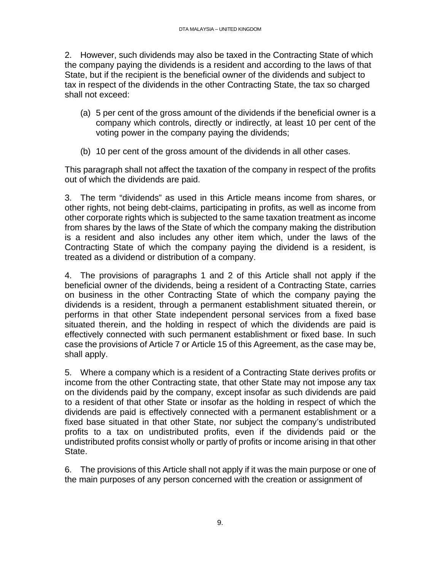2. However, such dividends may also be taxed in the Contracting State of which the company paying the dividends is a resident and according to the laws of that State, but if the recipient is the beneficial owner of the dividends and subject to tax in respect of the dividends in the other Contracting State, the tax so charged shall not exceed:

- (a) 5 per cent of the gross amount of the dividends if the beneficial owner is a company which controls, directly or indirectly, at least 10 per cent of the voting power in the company paying the dividends;
- (b) 10 per cent of the gross amount of the dividends in all other cases.

This paragraph shall not affect the taxation of the company in respect of the profits out of which the dividends are paid.

3. The term "dividends" as used in this Article means income from shares, or other rights, not being debt-claims, participating in profits, as well as income from other corporate rights which is subjected to the same taxation treatment as income from shares by the laws of the State of which the company making the distribution is a resident and also includes any other item which, under the laws of the Contracting State of which the company paying the dividend is a resident, is treated as a dividend or distribution of a company.

4. The provisions of paragraphs 1 and 2 of this Article shall not apply if the beneficial owner of the dividends, being a resident of a Contracting State, carries on business in the other Contracting State of which the company paying the dividends is a resident, through a permanent establishment situated therein, or performs in that other State independent personal services from a fixed base situated therein, and the holding in respect of which the dividends are paid is effectively connected with such permanent establishment or fixed base. In such case the provisions of Article 7 or Article 15 of this Agreement, as the case may be, shall apply.

5. Where a company which is a resident of a Contracting State derives profits or income from the other Contracting state, that other State may not impose any tax on the dividends paid by the company, except insofar as such dividends are paid to a resident of that other State or insofar as the holding in respect of which the dividends are paid is effectively connected with a permanent establishment or a fixed base situated in that other State, nor subject the company's undistributed profits to a tax on undistributed profits, even if the dividends paid or the undistributed profits consist wholly or partly of profits or income arising in that other State.

6. The provisions of this Article shall not apply if it was the main purpose or one of the main purposes of any person concerned with the creation or assignment of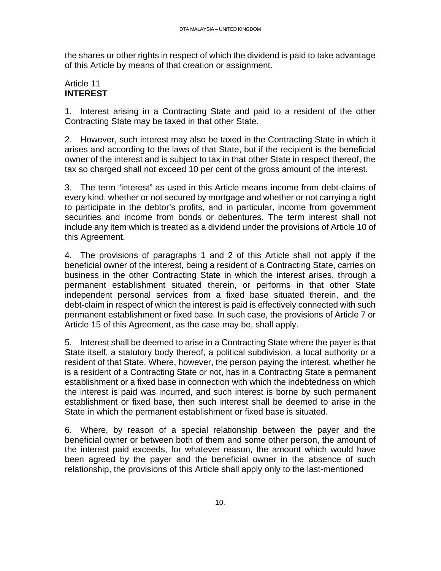the shares or other rights in respect of which the dividend is paid to take advantage of this Article by means of that creation or assignment.

### Article 11 **INTEREST**

1. Interest arising in a Contracting State and paid to a resident of the other Contracting State may be taxed in that other State.

2. However, such interest may also be taxed in the Contracting State in which it arises and according to the laws of that State, but if the recipient is the beneficial owner of the interest and is subject to tax in that other State in respect thereof, the tax so charged shall not exceed 10 per cent of the gross amount of the interest.

3. The term "interest" as used in this Article means income from debt-claims of every kind, whether or not secured by mortgage and whether or not carrying a right to participate in the debtor's profits, and in particular, income from government securities and income from bonds or debentures. The term interest shall not include any item which is treated as a dividend under the provisions of Article 10 of this Agreement.

4. The provisions of paragraphs 1 and 2 of this Article shall not apply if the beneficial owner of the interest, being a resident of a Contracting State, carries on business in the other Contracting State in which the interest arises, through a permanent establishment situated therein, or performs in that other State independent personal services from a fixed base situated therein, and the debt-claim in respect of which the interest is paid is effectively connected with such permanent establishment or fixed base. In such case, the provisions of Article 7 or Article 15 of this Agreement, as the case may be, shall apply.

5. Interest shall be deemed to arise in a Contracting State where the payer is that State itself, a statutory body thereof, a political subdivision, a local authority or a resident of that State. Where, however, the person paying the interest, whether he is a resident of a Contracting State or not, has in a Contracting State a permanent establishment or a fixed base in connection with which the indebtedness on which the interest is paid was incurred, and such interest is borne by such permanent establishment or fixed base, then such interest shall be deemed to arise in the State in which the permanent establishment or fixed base is situated.

6. Where, by reason of a special relationship between the payer and the beneficial owner or between both of them and some other person, the amount of the interest paid exceeds, for whatever reason, the amount which would have been agreed by the payer and the beneficial owner in the absence of such relationship, the provisions of this Article shall apply only to the last-mentioned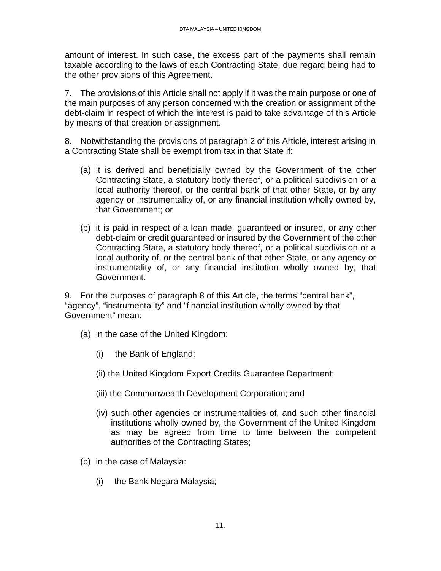amount of interest. In such case, the excess part of the payments shall remain taxable according to the laws of each Contracting State, due regard being had to the other provisions of this Agreement.

7. The provisions of this Article shall not apply if it was the main purpose or one of the main purposes of any person concerned with the creation or assignment of the debt-claim in respect of which the interest is paid to take advantage of this Article by means of that creation or assignment.

8. Notwithstanding the provisions of paragraph 2 of this Article, interest arising in a Contracting State shall be exempt from tax in that State if:

- (a) it is derived and beneficially owned by the Government of the other Contracting State, a statutory body thereof, or a political subdivision or a local authority thereof, or the central bank of that other State, or by any agency or instrumentality of, or any financial institution wholly owned by, that Government; or
- (b) it is paid in respect of a loan made, guaranteed or insured, or any other debt-claim or credit guaranteed or insured by the Government of the other Contracting State, a statutory body thereof, or a political subdivision or a local authority of, or the central bank of that other State, or any agency or instrumentality of, or any financial institution wholly owned by, that Government.

9. For the purposes of paragraph 8 of this Article, the terms "central bank", "agency", "instrumentality" and "financial institution wholly owned by that Government" mean:

- (a) in the case of the United Kingdom:
	- (i) the Bank of England;
	- (ii) the United Kingdom Export Credits Guarantee Department;
	- (iii) the Commonwealth Development Corporation; and
	- (iv) such other agencies or instrumentalities of, and such other financial institutions wholly owned by, the Government of the United Kingdom as may be agreed from time to time between the competent authorities of the Contracting States;
- (b) in the case of Malaysia:
	- (i) the Bank Negara Malaysia;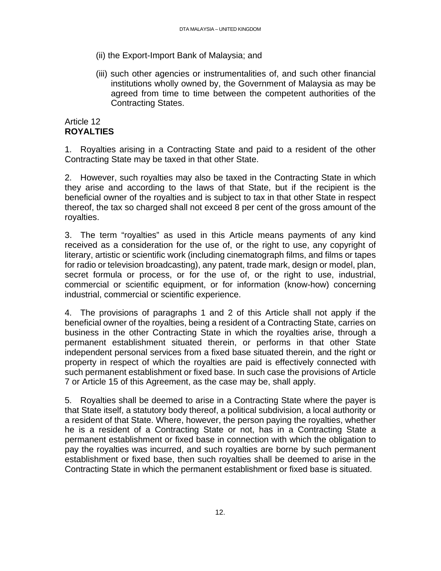- (ii) the Export-Import Bank of Malaysia; and
- (iii) such other agencies or instrumentalities of, and such other financial institutions wholly owned by, the Government of Malaysia as may be agreed from time to time between the competent authorities of the Contracting States.

### Article 12 **ROYALTIES**

1. Royalties arising in a Contracting State and paid to a resident of the other Contracting State may be taxed in that other State.

2. However, such royalties may also be taxed in the Contracting State in which they arise and according to the laws of that State, but if the recipient is the beneficial owner of the royalties and is subject to tax in that other State in respect thereof, the tax so charged shall not exceed 8 per cent of the gross amount of the royalties.

3. The term "royalties" as used in this Article means payments of any kind received as a consideration for the use of, or the right to use, any copyright of literary, artistic or scientific work (including cinematograph films, and films or tapes for radio or television broadcasting), any patent, trade mark, design or model, plan, secret formula or process, or for the use of, or the right to use, industrial, commercial or scientific equipment, or for information (know-how) concerning industrial, commercial or scientific experience.

4. The provisions of paragraphs 1 and 2 of this Article shall not apply if the beneficial owner of the royalties, being a resident of a Contracting State, carries on business in the other Contracting State in which the royalties arise, through a permanent establishment situated therein, or performs in that other State independent personal services from a fixed base situated therein, and the right or property in respect of which the royalties are paid is effectively connected with such permanent establishment or fixed base. In such case the provisions of Article 7 or Article 15 of this Agreement, as the case may be, shall apply.

5. Royalties shall be deemed to arise in a Contracting State where the payer is that State itself, a statutory body thereof, a political subdivision, a local authority or a resident of that State. Where, however, the person paying the royalties, whether he is a resident of a Contracting State or not, has in a Contracting State a permanent establishment or fixed base in connection with which the obligation to pay the royalties was incurred, and such royalties are borne by such permanent establishment or fixed base, then such royalties shall be deemed to arise in the Contracting State in which the permanent establishment or fixed base is situated.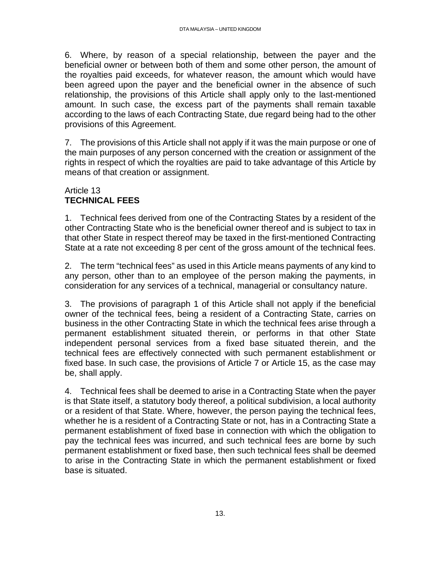6. Where, by reason of a special relationship, between the payer and the beneficial owner or between both of them and some other person, the amount of the royalties paid exceeds, for whatever reason, the amount which would have been agreed upon the payer and the beneficial owner in the absence of such relationship, the provisions of this Article shall apply only to the last-mentioned amount. In such case, the excess part of the payments shall remain taxable according to the laws of each Contracting State, due regard being had to the other provisions of this Agreement.

7. The provisions of this Article shall not apply if it was the main purpose or one of the main purposes of any person concerned with the creation or assignment of the rights in respect of which the royalties are paid to take advantage of this Article by means of that creation or assignment.

### Article 13 **TECHNICAL FEES**

1. Technical fees derived from one of the Contracting States by a resident of the other Contracting State who is the beneficial owner thereof and is subject to tax in that other State in respect thereof may be taxed in the first-mentioned Contracting State at a rate not exceeding 8 per cent of the gross amount of the technical fees.

2. The term "technical fees" as used in this Article means payments of any kind to any person, other than to an employee of the person making the payments, in consideration for any services of a technical, managerial or consultancy nature.

3. The provisions of paragraph 1 of this Article shall not apply if the beneficial owner of the technical fees, being a resident of a Contracting State, carries on business in the other Contracting State in which the technical fees arise through a permanent establishment situated therein, or performs in that other State independent personal services from a fixed base situated therein, and the technical fees are effectively connected with such permanent establishment or fixed base. In such case, the provisions of Article 7 or Article 15, as the case may be, shall apply.

4. Technical fees shall be deemed to arise in a Contracting State when the payer is that State itself, a statutory body thereof, a political subdivision, a local authority or a resident of that State. Where, however, the person paying the technical fees, whether he is a resident of a Contracting State or not, has in a Contracting State a permanent establishment of fixed base in connection with which the obligation to pay the technical fees was incurred, and such technical fees are borne by such permanent establishment or fixed base, then such technical fees shall be deemed to arise in the Contracting State in which the permanent establishment or fixed base is situated.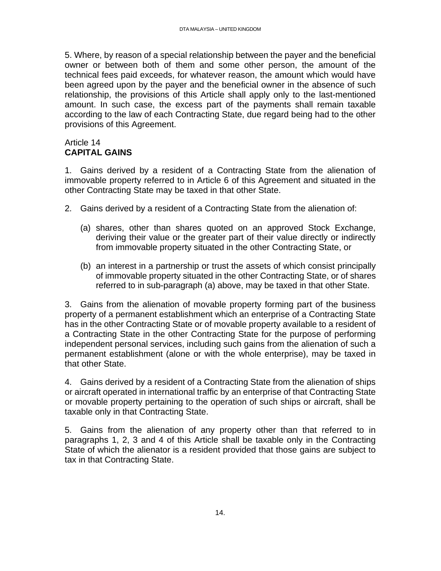5. Where, by reason of a special relationship between the payer and the beneficial owner or between both of them and some other person, the amount of the technical fees paid exceeds, for whatever reason, the amount which would have been agreed upon by the payer and the beneficial owner in the absence of such relationship, the provisions of this Article shall apply only to the last-mentioned amount. In such case, the excess part of the payments shall remain taxable according to the law of each Contracting State, due regard being had to the other provisions of this Agreement.

## Article 14 **CAPITAL GAINS**

1. Gains derived by a resident of a Contracting State from the alienation of immovable property referred to in Article 6 of this Agreement and situated in the other Contracting State may be taxed in that other State.

- 2. Gains derived by a resident of a Contracting State from the alienation of:
	- (a) shares, other than shares quoted on an approved Stock Exchange, deriving their value or the greater part of their value directly or indirectly from immovable property situated in the other Contracting State, or
	- (b) an interest in a partnership or trust the assets of which consist principally of immovable property situated in the other Contracting State, or of shares referred to in sub-paragraph (a) above, may be taxed in that other State.

3. Gains from the alienation of movable property forming part of the business property of a permanent establishment which an enterprise of a Contracting State has in the other Contracting State or of movable property available to a resident of a Contracting State in the other Contracting State for the purpose of performing independent personal services, including such gains from the alienation of such a permanent establishment (alone or with the whole enterprise), may be taxed in that other State.

4. Gains derived by a resident of a Contracting State from the alienation of ships or aircraft operated in international traffic by an enterprise of that Contracting State or movable property pertaining to the operation of such ships or aircraft, shall be taxable only in that Contracting State.

5. Gains from the alienation of any property other than that referred to in paragraphs 1, 2, 3 and 4 of this Article shall be taxable only in the Contracting State of which the alienator is a resident provided that those gains are subject to tax in that Contracting State.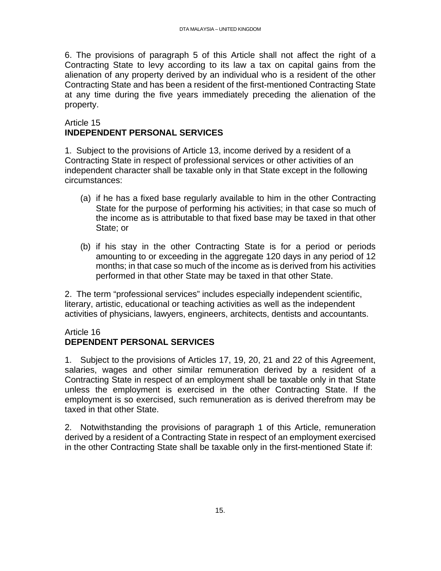6. The provisions of paragraph 5 of this Article shall not affect the right of a Contracting State to levy according to its law a tax on capital gains from the alienation of any property derived by an individual who is a resident of the other Contracting State and has been a resident of the first-mentioned Contracting State at any time during the five years immediately preceding the alienation of the property.

### Article 15 **INDEPENDENT PERSONAL SERVICES**

1. Subject to the provisions of Article 13, income derived by a resident of a Contracting State in respect of professional services or other activities of an independent character shall be taxable only in that State except in the following circumstances:

- (a) if he has a fixed base regularly available to him in the other Contracting State for the purpose of performing his activities; in that case so much of the income as is attributable to that fixed base may be taxed in that other State; or
- (b) if his stay in the other Contracting State is for a period or periods amounting to or exceeding in the aggregate 120 days in any period of 12 months; in that case so much of the income as is derived from his activities performed in that other State may be taxed in that other State.

2. The term "professional services" includes especially independent scientific, literary, artistic, educational or teaching activities as well as the independent activities of physicians, lawyers, engineers, architects, dentists and accountants.

# Article 16

## **DEPENDENT PERSONAL SERVICES**

1. Subject to the provisions of Articles 17, 19, 20, 21 and 22 of this Agreement, salaries, wages and other similar remuneration derived by a resident of a Contracting State in respect of an employment shall be taxable only in that State unless the employment is exercised in the other Contracting State. If the employment is so exercised, such remuneration as is derived therefrom may be taxed in that other State.

2. Notwithstanding the provisions of paragraph 1 of this Article, remuneration derived by a resident of a Contracting State in respect of an employment exercised in the other Contracting State shall be taxable only in the first-mentioned State if: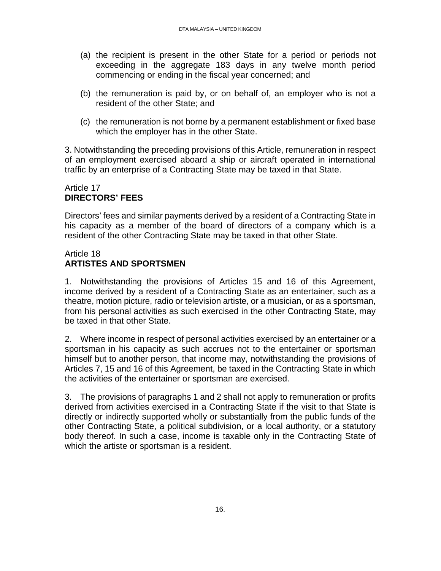- (a) the recipient is present in the other State for a period or periods not exceeding in the aggregate 183 days in any twelve month period commencing or ending in the fiscal year concerned; and
- (b) the remuneration is paid by, or on behalf of, an employer who is not a resident of the other State; and
- (c) the remuneration is not borne by a permanent establishment or fixed base which the employer has in the other State.

3. Notwithstanding the preceding provisions of this Article, remuneration in respect of an employment exercised aboard a ship or aircraft operated in international traffic by an enterprise of a Contracting State may be taxed in that State.

### Article 17 **DIRECTORS' FEES**

Directors' fees and similar payments derived by a resident of a Contracting State in his capacity as a member of the board of directors of a company which is a resident of the other Contracting State may be taxed in that other State.

### Article 18 **ARTISTES AND SPORTSMEN**

1. Notwithstanding the provisions of Articles 15 and 16 of this Agreement, income derived by a resident of a Contracting State as an entertainer, such as a theatre, motion picture, radio or television artiste, or a musician, or as a sportsman, from his personal activities as such exercised in the other Contracting State, may be taxed in that other State.

2. Where income in respect of personal activities exercised by an entertainer or a sportsman in his capacity as such accrues not to the entertainer or sportsman himself but to another person, that income may, notwithstanding the provisions of Articles 7, 15 and 16 of this Agreement, be taxed in the Contracting State in which the activities of the entertainer or sportsman are exercised.

3. The provisions of paragraphs 1 and 2 shall not apply to remuneration or profits derived from activities exercised in a Contracting State if the visit to that State is directly or indirectly supported wholly or substantially from the public funds of the other Contracting State, a political subdivision, or a local authority, or a statutory body thereof. In such a case, income is taxable only in the Contracting State of which the artiste or sportsman is a resident.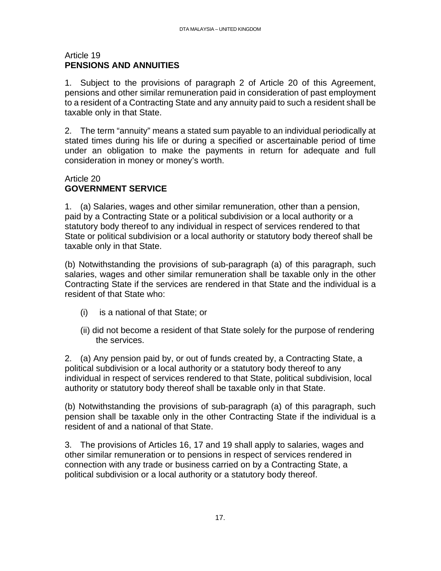### Article 19 **PENSIONS AND ANNUITIES**

1. Subject to the provisions of paragraph 2 of Article 20 of this Agreement, pensions and other similar remuneration paid in consideration of past employment to a resident of a Contracting State and any annuity paid to such a resident shall be taxable only in that State.

2. The term "annuity" means a stated sum payable to an individual periodically at stated times during his life or during a specified or ascertainable period of time under an obligation to make the payments in return for adequate and full consideration in money or money's worth.

### Article 20 **GOVERNMENT SERVICE**

1. (a) Salaries, wages and other similar remuneration, other than a pension, paid by a Contracting State or a political subdivision or a local authority or a statutory body thereof to any individual in respect of services rendered to that State or political subdivision or a local authority or statutory body thereof shall be taxable only in that State.

(b) Notwithstanding the provisions of sub-paragraph (a) of this paragraph, such salaries, wages and other similar remuneration shall be taxable only in the other Contracting State if the services are rendered in that State and the individual is a resident of that State who:

- (i) is a national of that State; or
- (ii) did not become a resident of that State solely for the purpose of rendering the services.

2. (a) Any pension paid by, or out of funds created by, a Contracting State, a political subdivision or a local authority or a statutory body thereof to any individual in respect of services rendered to that State, political subdivision, local authority or statutory body thereof shall be taxable only in that State.

(b) Notwithstanding the provisions of sub-paragraph (a) of this paragraph, such pension shall be taxable only in the other Contracting State if the individual is a resident of and a national of that State.

3. The provisions of Articles 16, 17 and 19 shall apply to salaries, wages and other similar remuneration or to pensions in respect of services rendered in connection with any trade or business carried on by a Contracting State, a political subdivision or a local authority or a statutory body thereof.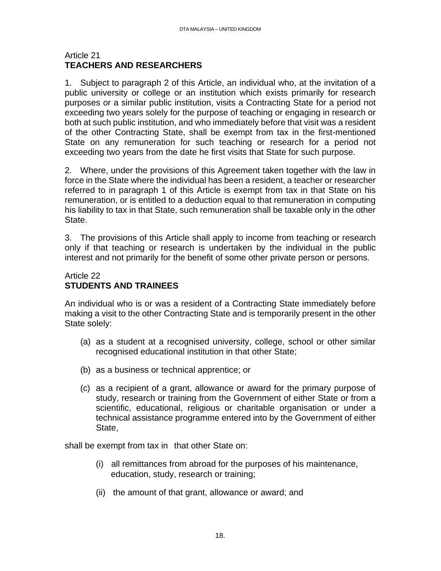### Article 21 **TEACHERS AND RESEARCHERS**

1. Subject to paragraph 2 of this Article, an individual who, at the invitation of a public university or college or an institution which exists primarily for research purposes or a similar public institution, visits a Contracting State for a period not exceeding two years solely for the purpose of teaching or engaging in research or both at such public institution, and who immediately before that visit was a resident of the other Contracting State, shall be exempt from tax in the first-mentioned State on any remuneration for such teaching or research for a period not exceeding two years from the date he first visits that State for such purpose.

2. Where, under the provisions of this Agreement taken together with the law in force in the State where the individual has been a resident, a teacher or researcher referred to in paragraph 1 of this Article is exempt from tax in that State on his remuneration, or is entitled to a deduction equal to that remuneration in computing his liability to tax in that State, such remuneration shall be taxable only in the other State.

3. The provisions of this Article shall apply to income from teaching or research only if that teaching or research is undertaken by the individual in the public interest and not primarily for the benefit of some other private person or persons.

## Article 22 **STUDENTS AND TRAINEES**

An individual who is or was a resident of a Contracting State immediately before making a visit to the other Contracting State and is temporarily present in the other State solely:

- (a) as a student at a recognised university, college, school or other similar recognised educational institution in that other State;
- (b) as a business or technical apprentice; or
- (c) as a recipient of a grant, allowance or award for the primary purpose of study, research or training from the Government of either State or from a scientific, educational, religious or charitable organisation or under a technical assistance programme entered into by the Government of either State,

shall be exempt from tax in that other State on:

- (i) all remittances from abroad for the purposes of his maintenance, education, study, research or training;
- (ii) the amount of that grant, allowance or award; and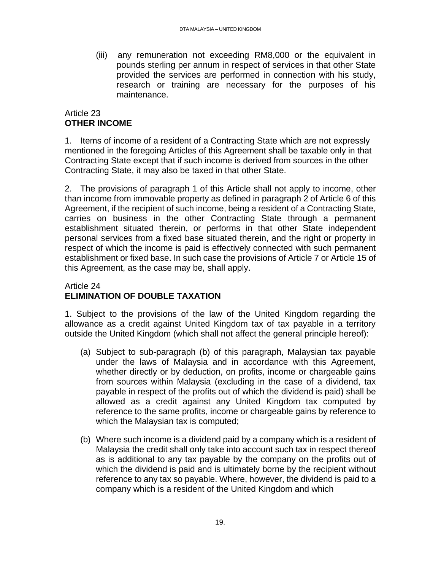(iii) any remuneration not exceeding RM8,000 or the equivalent in pounds sterling per annum in respect of services in that other State provided the services are performed in connection with his study, research or training are necessary for the purposes of his maintenance.

### Article 23 **OTHER INCOME**

1. Items of income of a resident of a Contracting State which are not expressly mentioned in the foregoing Articles of this Agreement shall be taxable only in that Contracting State except that if such income is derived from sources in the other Contracting State, it may also be taxed in that other State.

2. The provisions of paragraph 1 of this Article shall not apply to income, other than income from immovable property as defined in paragraph 2 of Article 6 of this Agreement, if the recipient of such income, being a resident of a Contracting State, carries on business in the other Contracting State through a permanent establishment situated therein, or performs in that other State independent personal services from a fixed base situated therein, and the right or property in respect of which the income is paid is effectively connected with such permanent establishment or fixed base. In such case the provisions of Article 7 or Article 15 of this Agreement, as the case may be, shall apply.

### Article 24 **ELIMINATION OF DOUBLE TAXATION**

1. Subject to the provisions of the law of the United Kingdom regarding the allowance as a credit against United Kingdom tax of tax payable in a territory outside the United Kingdom (which shall not affect the general principle hereof):

- (a) Subject to sub-paragraph (b) of this paragraph, Malaysian tax payable under the laws of Malaysia and in accordance with this Agreement, whether directly or by deduction, on profits, income or chargeable gains from sources within Malaysia (excluding in the case of a dividend, tax payable in respect of the profits out of which the dividend is paid) shall be allowed as a credit against any United Kingdom tax computed by reference to the same profits, income or chargeable gains by reference to which the Malaysian tax is computed;
- (b) Where such income is a dividend paid by a company which is a resident of Malaysia the credit shall only take into account such tax in respect thereof as is additional to any tax payable by the company on the profits out of which the dividend is paid and is ultimately borne by the recipient without reference to any tax so payable. Where, however, the dividend is paid to a company which is a resident of the United Kingdom and which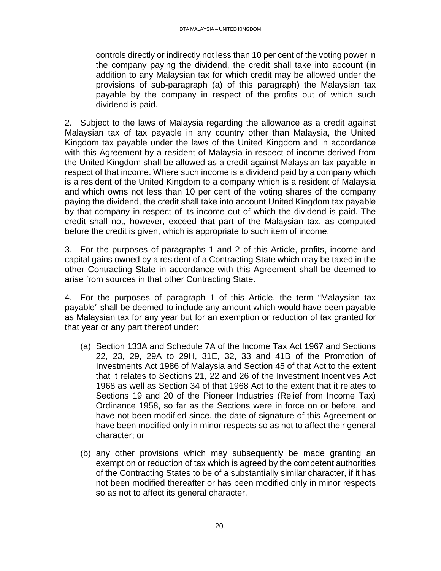controls directly or indirectly not less than 10 per cent of the voting power in the company paying the dividend, the credit shall take into account (in addition to any Malaysian tax for which credit may be allowed under the provisions of sub-paragraph (a) of this paragraph) the Malaysian tax payable by the company in respect of the profits out of which such dividend is paid.

2. Subject to the laws of Malaysia regarding the allowance as a credit against Malaysian tax of tax payable in any country other than Malaysia, the United Kingdom tax payable under the laws of the United Kingdom and in accordance with this Agreement by a resident of Malaysia in respect of income derived from the United Kingdom shall be allowed as a credit against Malaysian tax payable in respect of that income. Where such income is a dividend paid by a company which is a resident of the United Kingdom to a company which is a resident of Malaysia and which owns not less than 10 per cent of the voting shares of the company paying the dividend, the credit shall take into account United Kingdom tax payable by that company in respect of its income out of which the dividend is paid. The credit shall not, however, exceed that part of the Malaysian tax, as computed before the credit is given, which is appropriate to such item of income.

3. For the purposes of paragraphs 1 and 2 of this Article, profits, income and capital gains owned by a resident of a Contracting State which may be taxed in the other Contracting State in accordance with this Agreement shall be deemed to arise from sources in that other Contracting State.

4. For the purposes of paragraph 1 of this Article, the term "Malaysian tax payable" shall be deemed to include any amount which would have been payable as Malaysian tax for any year but for an exemption or reduction of tax granted for that year or any part thereof under:

- (a) Section 133A and Schedule 7A of the Income Tax Act 1967 and Sections 22, 23, 29, 29A to 29H, 31E, 32, 33 and 41B of the Promotion of Investments Act 1986 of Malaysia and Section 45 of that Act to the extent that it relates to Sections 21, 22 and 26 of the Investment Incentives Act 1968 as well as Section 34 of that 1968 Act to the extent that it relates to Sections 19 and 20 of the Pioneer Industries (Relief from Income Tax) Ordinance 1958, so far as the Sections were in force on or before, and have not been modified since, the date of signature of this Agreement or have been modified only in minor respects so as not to affect their general character; or
- (b) any other provisions which may subsequently be made granting an exemption or reduction of tax which is agreed by the competent authorities of the Contracting States to be of a substantially similar character, if it has not been modified thereafter or has been modified only in minor respects so as not to affect its general character.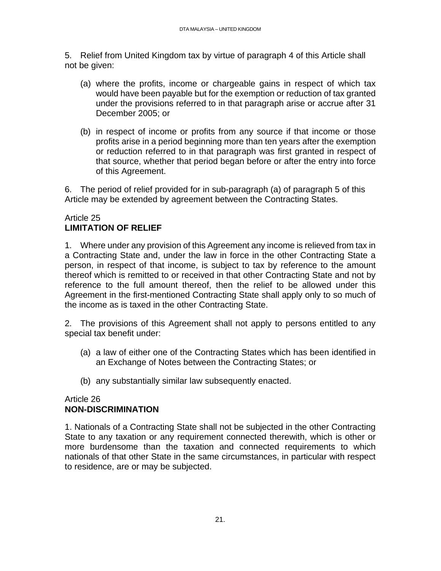5. Relief from United Kingdom tax by virtue of paragraph 4 of this Article shall not be given:

- (a) where the profits, income or chargeable gains in respect of which tax would have been payable but for the exemption or reduction of tax granted under the provisions referred to in that paragraph arise or accrue after 31 December 2005; or
- (b) in respect of income or profits from any source if that income or those profits arise in a period beginning more than ten years after the exemption or reduction referred to in that paragraph was first granted in respect of that source, whether that period began before or after the entry into force of this Agreement.

6. The period of relief provided for in sub-paragraph (a) of paragraph 5 of this Article may be extended by agreement between the Contracting States.

## Article 25 **LIMITATION OF RELIEF**

1. Where under any provision of this Agreement any income is relieved from tax in a Contracting State and, under the law in force in the other Contracting State a person, in respect of that income, is subject to tax by reference to the amount thereof which is remitted to or received in that other Contracting State and not by reference to the full amount thereof, then the relief to be allowed under this Agreement in the first-mentioned Contracting State shall apply only to so much of the income as is taxed in the other Contracting State.

2. The provisions of this Agreement shall not apply to persons entitled to any special tax benefit under:

- (a) a law of either one of the Contracting States which has been identified in an Exchange of Notes between the Contracting States; or
- (b) any substantially similar law subsequently enacted.

### Article 26 **NON-DISCRIMINATION**

1. Nationals of a Contracting State shall not be subjected in the other Contracting State to any taxation or any requirement connected therewith, which is other or more burdensome than the taxation and connected requirements to which nationals of that other State in the same circumstances, in particular with respect to residence, are or may be subjected.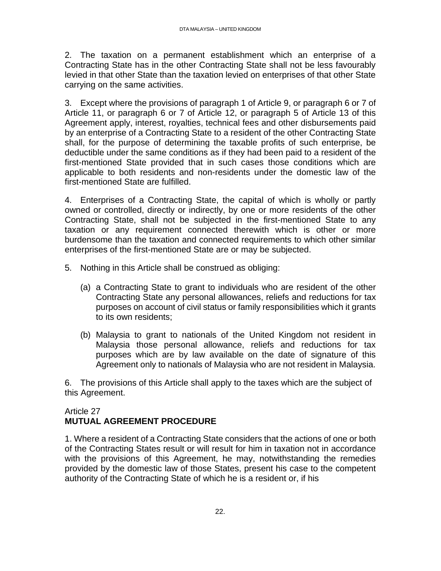2. The taxation on a permanent establishment which an enterprise of a Contracting State has in the other Contracting State shall not be less favourably levied in that other State than the taxation levied on enterprises of that other State carrying on the same activities.

3. Except where the provisions of paragraph 1 of Article 9, or paragraph 6 or 7 of Article 11, or paragraph 6 or 7 of Article 12, or paragraph 5 of Article 13 of this Agreement apply, interest, royalties, technical fees and other disbursements paid by an enterprise of a Contracting State to a resident of the other Contracting State shall, for the purpose of determining the taxable profits of such enterprise, be deductible under the same conditions as if they had been paid to a resident of the first-mentioned State provided that in such cases those conditions which are applicable to both residents and non-residents under the domestic law of the first-mentioned State are fulfilled.

4. Enterprises of a Contracting State, the capital of which is wholly or partly owned or controlled, directly or indirectly, by one or more residents of the other Contracting State, shall not be subjected in the first-mentioned State to any taxation or any requirement connected therewith which is other or more burdensome than the taxation and connected requirements to which other similar enterprises of the first-mentioned State are or may be subjected.

- 5. Nothing in this Article shall be construed as obliging:
	- (a) a Contracting State to grant to individuals who are resident of the other Contracting State any personal allowances, reliefs and reductions for tax purposes on account of civil status or family responsibilities which it grants to its own residents;
	- (b) Malaysia to grant to nationals of the United Kingdom not resident in Malaysia those personal allowance, reliefs and reductions for tax purposes which are by law available on the date of signature of this Agreement only to nationals of Malaysia who are not resident in Malaysia.

6. The provisions of this Article shall apply to the taxes which are the subject of this Agreement.

## Article 27 **MUTUAL AGREEMENT PROCEDURE**

1. Where a resident of a Contracting State considers that the actions of one or both of the Contracting States result or will result for him in taxation not in accordance with the provisions of this Agreement, he may, notwithstanding the remedies provided by the domestic law of those States, present his case to the competent authority of the Contracting State of which he is a resident or, if his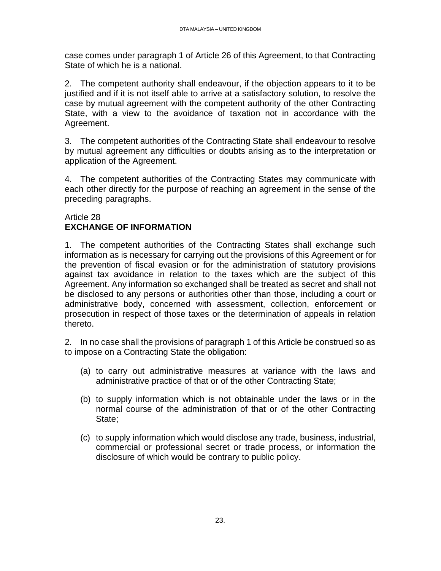case comes under paragraph 1 of Article 26 of this Agreement, to that Contracting State of which he is a national.

2. The competent authority shall endeavour, if the objection appears to it to be justified and if it is not itself able to arrive at a satisfactory solution, to resolve the case by mutual agreement with the competent authority of the other Contracting State, with a view to the avoidance of taxation not in accordance with the Agreement.

3. The competent authorities of the Contracting State shall endeavour to resolve by mutual agreement any difficulties or doubts arising as to the interpretation or application of the Agreement.

4. The competent authorities of the Contracting States may communicate with each other directly for the purpose of reaching an agreement in the sense of the preceding paragraphs.

## Article 28 **EXCHANGE OF INFORMATION**

1. The competent authorities of the Contracting States shall exchange such information as is necessary for carrying out the provisions of this Agreement or for the prevention of fiscal evasion or for the administration of statutory provisions against tax avoidance in relation to the taxes which are the subject of this Agreement. Any information so exchanged shall be treated as secret and shall not be disclosed to any persons or authorities other than those, including a court or administrative body, concerned with assessment, collection, enforcement or prosecution in respect of those taxes or the determination of appeals in relation thereto.

2. In no case shall the provisions of paragraph 1 of this Article be construed so as to impose on a Contracting State the obligation:

- (a) to carry out administrative measures at variance with the laws and administrative practice of that or of the other Contracting State;
- (b) to supply information which is not obtainable under the laws or in the normal course of the administration of that or of the other Contracting State;
- (c) to supply information which would disclose any trade, business, industrial, commercial or professional secret or trade process, or information the disclosure of which would be contrary to public policy.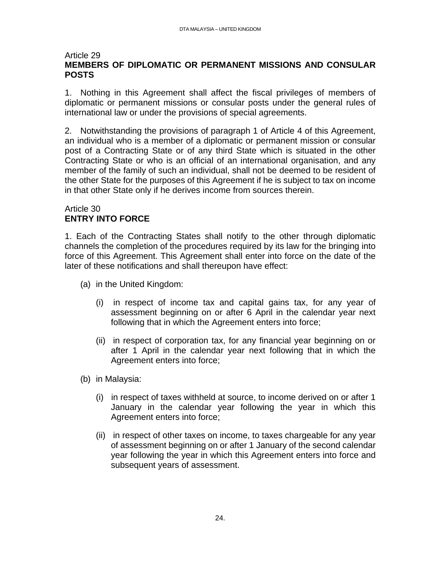### Article 29 **MEMBERS OF DIPLOMATIC OR PERMANENT MISSIONS AND CONSULAR POSTS**

1. Nothing in this Agreement shall affect the fiscal privileges of members of diplomatic or permanent missions or consular posts under the general rules of international law or under the provisions of special agreements.

2. Notwithstanding the provisions of paragraph 1 of Article 4 of this Agreement, an individual who is a member of a diplomatic or permanent mission or consular post of a Contracting State or of any third State which is situated in the other Contracting State or who is an official of an international organisation, and any member of the family of such an individual, shall not be deemed to be resident of the other State for the purposes of this Agreement if he is subject to tax on income in that other State only if he derives income from sources therein.

### Article 30 **ENTRY INTO FORCE**

1. Each of the Contracting States shall notify to the other through diplomatic channels the completion of the procedures required by its law for the bringing into force of this Agreement. This Agreement shall enter into force on the date of the later of these notifications and shall thereupon have effect:

- (a) in the United Kingdom:
	- (i) in respect of income tax and capital gains tax, for any year of assessment beginning on or after 6 April in the calendar year next following that in which the Agreement enters into force;
	- (ii) in respect of corporation tax, for any financial year beginning on or after 1 April in the calendar year next following that in which the Agreement enters into force;
- (b) in Malaysia:
	- (i) in respect of taxes withheld at source, to income derived on or after 1 January in the calendar year following the year in which this Agreement enters into force;
	- (ii) in respect of other taxes on income, to taxes chargeable for any year of assessment beginning on or after 1 January of the second calendar year following the year in which this Agreement enters into force and subsequent years of assessment.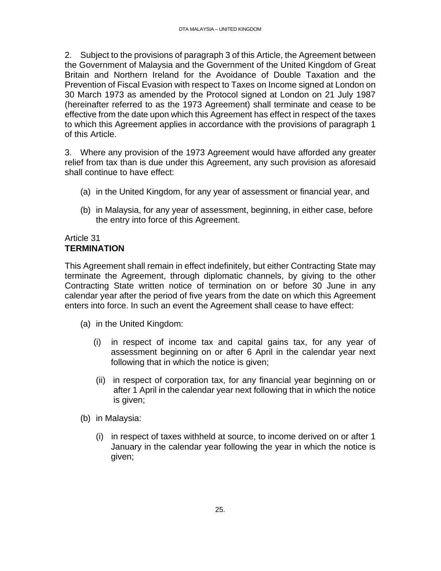2. Subject to the provisions of paragraph 3 of this Article, the Agreement between the Government of Malaysia and the Government of the United Kingdom of Great Britain and Northern Ireland for the Avoidance of Double Taxation and the Prevention of Fiscal Evasion with respect to Taxes on Income signed at London on 30 March 1973 as amended by the Protocol signed at London on 21 July 1987 (hereinafter referred to as the 1973 Agreement) shall terminate and cease to be effective from the date upon which this Agreement has effect in respect of the taxes to which this Agreement applies in accordance with the provisions of paragraph 1 of this Article.

3. Where any provision of the 1973 Agreement would have afforded any greater relief from tax than is due under this Agreement, any such provision as aforesaid shall continue to have effect:

- (a) in the United Kingdom, for any year of assessment or financial year, and
- (b) in Malaysia, for any year of assessment, beginning, in either case, before the entry into force of this Agreement.

## Article 31 **TERMINATION**

This Agreement shall remain in effect indefinitely, but either Contracting State may terminate the Agreement, through diplomatic channels, by giving to the other Contracting State written notice of termination on or before 30 June in any calendar year after the period of five years from the date on which this Agreement enters into force. In such an event the Agreement shall cease to have effect:

- (a) in the United Kingdom:
	- (i) in respect of income tax and capital gains tax, for any year of assessment beginning on or after 6 April in the calendar year next following that in which the notice is given;
	- (ii) in respect of corporation tax, for any financial year beginning on or after 1 April in the calendar year next following that in which the notice is given;
- (b) in Malaysia:
	- (i) in respect of taxes withheld at source, to income derived on or after 1 January in the calendar year following the year in which the notice is given;